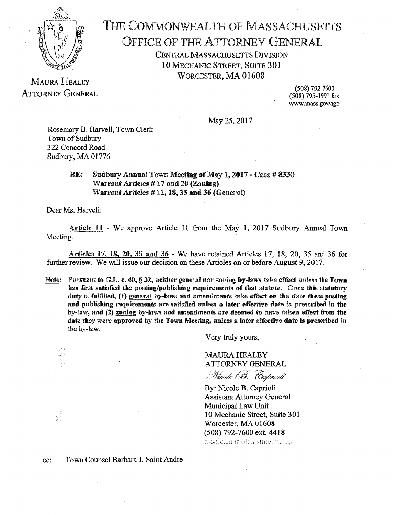

## THE COMMONWEALTH OF MASSACHUSETTS OFFICE OF THE ATTORNEY GENERAL CENTRAL MASSACHUSETTS DIVISION 10 MECHANIC STREET, SUITE 301 WORCESTER, MA 01608

MAURA HEALEY ATTORNEY GENERAL

(508) 792-7600 (508) 795-1991 fax www.mass.gov/ago

May 25, 2017

Rosemary B. Harvell, Town Clerk Town of Sudbury 322 Concord Road Sudbury, MA 01776

> RE: Sudbury Annual Town Meeting of May 1, 2017 - Case # 8330 Warrant Articles  $#17$  and 20 (Zoning) Warrant Articles  $# 11, 18, 35$  and 36 (General)

Dear Ms. Harvell:

Article 11 - We approve Article 11 from the May 1, 2017 Sudbury Annual Town Meeting.

Articles 17, 18, 20, 35 and 36 - We have retained Articles 17, 18, 20, 35 and 36 for further review. We will issue our decision on these Articles on or before August 9, 2017.

Note: Pursuant to G.L. c. 40,  $\S 32$ , neither general nor zoning by-laws take effect unless the Town has first satisfied the posting/publishing requirements of that statute. Once this statutory duty is fulfilled, (1) general by-laws and amendments take effect on the date these posting and publishing requirements are satisfied unless a later effective date is prescribed in the  $b$ y-law, and  $(2)$  zoning by-laws and amendments are deemed to have taken effect from the date they were approved by the Town Meeting, unless a later effective date is prescribed in the by~law.

Very truly yours,

MAURA HEALEY ATTORNEY GENERAL

*{;}ft-~* / (!'0 \$?'\$,..A,r.· . ..(- *<sup>c</sup>*. *~.v~ ,.>(Y,* . •/~,v~ .,,¥/

By: Nicole B. Caprioli Assistant Attorney General Municipal Law Unit 10 Mechanic Street, Suite 301 Worcester, MA 01608 (508) 792-7600 ext. 4418 nicole.caprioli asstate.ma.us

tin<br>September<br>September

Ù,

cc: Town Counsel Barbara J. Saint Andre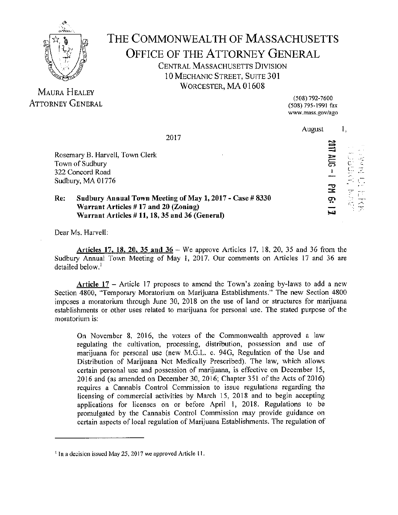

## THE COMMONWEALTH OF MASSACHUSETTS OFFICE OF THE ATTORNEY GENERAL CENTRAL MASSACHUSETTS DIVISION 10 MECHANIC STREET, SUITE 301 WORCESTER, MA 01608

MAURA HEALEY ATTORNEY GENERAL

(508) 792-7600 (508) 795-1991 fax www.mass.gov/ago

|                                 | 2017                                                     | August |       |    |
|---------------------------------|----------------------------------------------------------|--------|-------|----|
|                                 |                                                          |        | 買     |    |
| Rosemary B. Harvell, Town Clerk |                                                          |        |       |    |
| Town of Sudbury                 |                                                          |        | ភ្លាន |    |
| 322 Concord Road                |                                                          |        |       |    |
| Sudbury, MA 01776               |                                                          |        |       |    |
|                                 |                                                          |        | 궆     |    |
| Re:                             | Sudbury Annual Town Meeting of May 1, 2017 - Case # 8330 |        | ဂ္ဂ   | 美  |
|                                 | Warrant Articles $#17$ and 20 (Zoning)                   |        |       | È. |
|                                 | Warrant Articles $# 11, 18, 35$ and 36 (General)         |        | لتدا  |    |

Dear Ms. Harvell:

Articles 17, 18, 20, 35 and  $36 -$  We approve Articles 17, 18, 20, 35 and 36 from the Sudbury Annual Town Meeting of May I, 2017. Our comments on Articles 17 and 36 are detailed below.<sup>1</sup>

Article  $17$  - Article 17 proposes to amend the Town's zoning by-laws to add a new Section 4800, "Temporary Moratorium on Marijuana Establishments." The new Section 4800 imposes a moratorium through June 30, 2018 on the use of land or structures for marijuana establishments or other uses related to marijuana for personal use. The stated purpose of the moratorium is:

On November 8, 2016, the voters of the Commonwealth approved a law regulating the cultivation, processing, distribution, possession and use of marijuana for personal use (new M.G.L. c. 940, Regulation of the Use and Distribution of Marijuana Not Medically Prescribed). The law, which allows certain personal use and possession of marijuana, is effective on December 15, 2016 and (as amended on December 30, 2016; Chapter 351 of the Acts of 2016) requires a Cannabis Control Commission to issue regulations regarding the licensing of commercial activities by March 15, 2018 and to begin accepting applications for licenses on or before April I, 2018. Regulations to be promulgated by the Cannabis Control Commission may provide guidance on certain aspects of local regulation of Marijuana Establishments. The regulation of

<sup>&</sup>lt;sup>1</sup> In a decision issued May 25, 2017 we approved Article 11.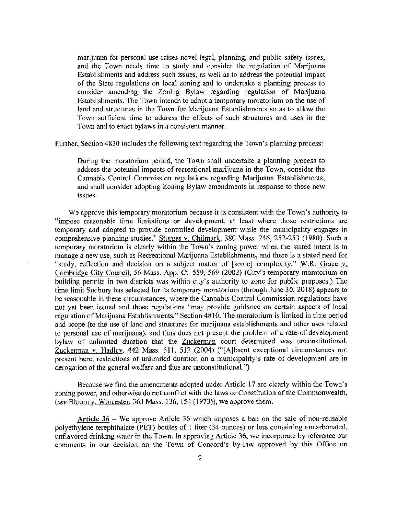marijuana for personal use raises novel legal, planning, and public safety issues, and the Town needs time to study and consider the regulation of Marijuana Establishments and address such issues, as well as to address the potential impact of the State regulations on local zoning and to undertake a planning process to consider amending the Zoning Bylaw regarding regulation of Marijuana Establishments. The Town intends to adopt a temporary moratorium on the use of land and structures in the Town for Marijuana Establishments so as to allow the Town sufficient time to address the effects of such structures and uses in the Town and to enact bylaws in a consistent manner.

Further, Section 4830 includes the following text regarding the Town's planning process:

During the moratorium period, the Town shall undertake a planning process to address the potential impacts of recreational marijuana in the Town, consider the Cannabis Control Commission regulations regarding Marijuana Establishments, and shall consider adopting Zoning Bylaw amendments in response to these new issues.

We approve this temporary moratorium because it is consistent with the Town's authority to "impose reasonable time limitations on development, at least where those restrictions are temporary and adopted to provide controlled development while the municipality engages in comprehensive planning studies." Sturges v. Chilmark, 380 Mass. 246, 252-253 (1980). Such a temporary moratorium is clearly within the Town's zoning power when the stated intent is to manage a new use, such as Recreational Marijuana Establishments, and there is a stated need for "study, reflection and decision on a subject matter of [some] complexity." W.R. Grace v. Cambridge City Council, 56 Mass. App. Ct. 559, 569 (2002) (City's temporary moratorium on building permits in two districts was within city's authority to zone for public purposes.) The time limit Sudbury has selected for its temporary moratorium (through June 30, 2018) appears to be reasonable in these circumstances, where the Cannabis Control Commission regulations have not yet been issued and those regulations "may provide guidance on certain aspects of local regulation of Marijuana Establishments." Section 4810. The moratorium is limited in time period and scope (to the use of land and structures for marijuana establishments and other uses related to personal use of marijuana), and thus does not present the problem of a rate-of-development bylaw of unlimited duration that the Zuckerman court determined was unconstitutional. Zuckerman v. Hadley, 442 Mass. 511, 512 (2004) ("[A}bsent exceptional circumstances not present here, restrictions of unlimited duration on a municipality's rate of development are in derogation of the general welfare and thus are unconstitutional.")

Because we find the amendments adopted under Article 17 are clearly within the Town's zoning power, and otherwise do not conflict with the laws or Constitution of the Commonwealth, (see Bloom v. Worcester, 363 Mass. 136, 154 (1973)), we approve them.

**Article** 36 - We approve Article 36 which imposes a ban on the sale of non-reusable polyethylene terephthalate (PET) bottles of l liter (34 ounces) or less containing uncarbonated, unflavored drinking water in the Town. In approving Article 36, we incorporate by reference our comments in our decision on the Town of Concord's by-law approved by this Office on